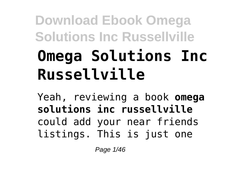# **Download Ebook Omega Solutions Inc Russellville Omega Solutions Inc Russellville**

Yeah, reviewing a book **omega solutions inc russellville** could add your near friends listings. This is just one

Page 1/46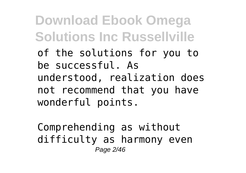of the solutions for you to be successful. As understood, realization does not recommend that you have wonderful points.

Comprehending as without difficulty as harmony even Page 2/46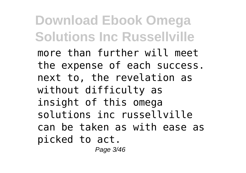more than further will meet the expense of each success. next to, the revelation as without difficulty as insight of this omega solutions inc russellville can be taken as with ease as picked to act.

Page 3/46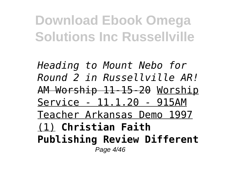*Heading to Mount Nebo for Round 2 in Russellville AR!* AM Worship 11-15-20 Worship Service - 11.1.20 - 915AM Teacher Arkansas Demo 1997 (1) **Christian Faith Publishing Review Different** Page 4/46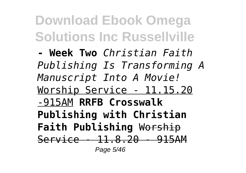**- Week Two** *Christian Faith Publishing Is Transforming A Manuscript Into A Movie!* Worship Service - 11.15.20 -915AM **RRFB Crosswalk Publishing with Christian Faith Publishing** Worship Service - 11.8.20 - 915AM Page 5/46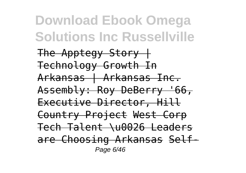The Apptegy  $Story +$ Technology Growth In Arkansas | Arkansas Inc. Assembly: Roy DeBerry '66, Executive Director, Hill Country Project West Corp Tech Talent \u0026 Leaders are Choosing Arkansas Self-Page 6/46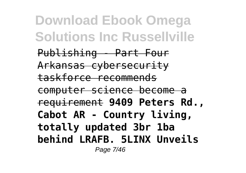Publishing - Part Four Arkansas cybersecurity taskforce recommends computer science become a requirement **9409 Peters Rd., Cabot AR - Country living, totally updated 3br 1ba behind LRAFB. 5LINX Unveils** Page 7/46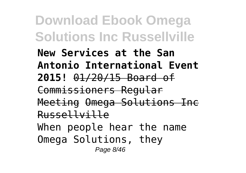**Download Ebook Omega Solutions Inc Russellville New Services at the San Antonio International Event 2015!** 01/20/15 Board of Commissioners Regular Meeting Omega Solutions Inc Russellville When people hear the name Omega Solutions, they Page 8/46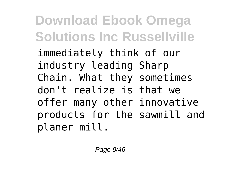immediately think of our industry leading Sharp Chain. What they sometimes don't realize is that we offer many other innovative products for the sawmill and planer mill.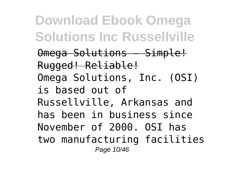Omega Solutions - Simple! Rugged! Reliable! Omega Solutions, Inc. (OSI) is based out of Russellville, Arkansas and has been in business since November of 2000. OSI has two manufacturing facilities Page 10/46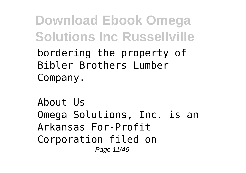bordering the property of Bibler Brothers Lumber Company.

#### About Us

Omega Solutions, Inc. is an Arkansas For-Profit Corporation filed on Page 11/46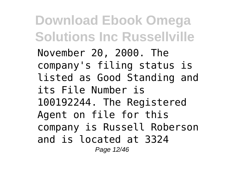November 20, 2000. The company's filing status is listed as Good Standing and its File Number is 100192244. The Registered Agent on file for this company is Russell Roberson and is located at 3324 Page 12/46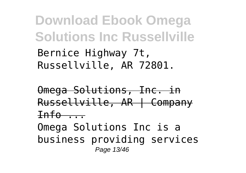**Download Ebook Omega Solutions Inc Russellville** Bernice Highway 7t,

Russellville, AR 72801.

Omega Solutions, Inc. in Russellville, AR | Company  $Int_0$ ...

Omega Solutions Inc is a business providing services Page 13/46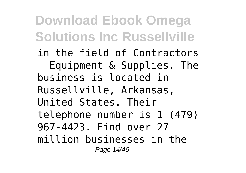in the field of Contractors

- Equipment & Supplies. The business is located in Russellville, Arkansas, United States. Their telephone number is 1 (479) 967-4423. Find over 27 million businesses in the Page 14/46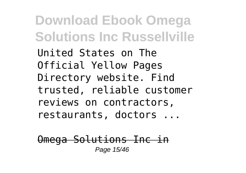United States on The Official Yellow Pages Directory website. Find trusted, reliable customer reviews on contractors, restaurants, doctors ...

Omega Solutions Inc in Page 15/46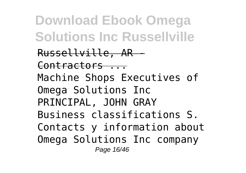Russellville, AR - Contractors ... Machine Shops Executives of Omega Solutions Inc PRINCIPAL, JOHN GRAY Business classifications S. Contacts y information about Omega Solutions Inc company Page 16/46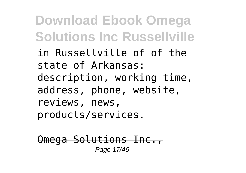in Russellville of of the state of Arkansas: description, working time, address, phone, website, reviews, news, products/services.

Omega Solutions Inc., Page 17/46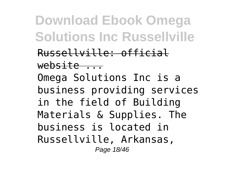Russellville: official  $w$ ebsite  $\qquad \qquad$ Omega Solutions Inc is a business providing services in the field of Building Materials & Supplies. The business is located in Russellville, Arkansas, Page 18/46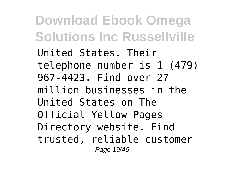**Download Ebook Omega Solutions Inc Russellville** United States. Their telephone number is 1 (479) 967-4423. Find over 27 million businesses in the United States on The Official Yellow Pages Directory website. Find

trusted, reliable customer Page 19/46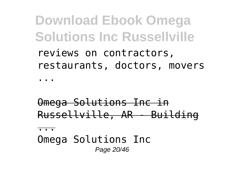**Download Ebook Omega Solutions Inc Russellville** reviews on contractors,

restaurants, doctors, movers

...

Omega Solutions Inc in Russellville, AR - Building

...

Omega Solutions Inc Page 20/46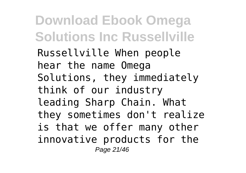Russellville When people hear the name Omega Solutions, they immediately think of our industry leading Sharp Chain. What they sometimes don't realize is that we offer many other innovative products for the Page 21/46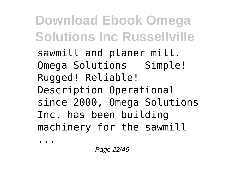sawmill and planer mill. Omega Solutions - Simple! Rugged! Reliable! Description Operational since 2000, Omega Solutions Inc. has been building machinery for the sawmill

...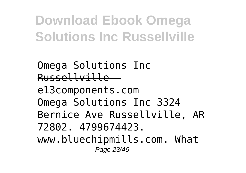Omega Solutions Inc Russellville e13components.com Omega Solutions Inc 3324 Bernice Ave Russellville, AR 72802. 4799674423. www.bluechipmills.com. What Page 23/46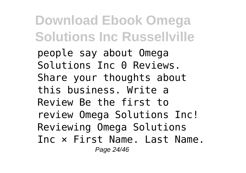people say about Omega Solutions Inc 0 Reviews. Share your thoughts about this business. Write a Review Be the first to review Omega Solutions Inc! Reviewing Omega Solutions Inc × First Name. Last Name. Page 24/46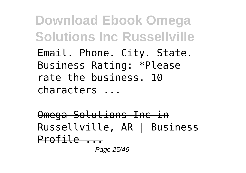**Download Ebook Omega Solutions Inc Russellville** Email. Phone. City. State. Business Rating: \*Please rate the business. 10 characters ...

Omega Solutions Inc in Russellville, AR | Business Profile ...

Page 25/46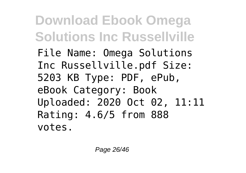**Download Ebook Omega Solutions Inc Russellville** File Name: Omega Solutions Inc Russellville.pdf Size: 5203 KB Type: PDF, ePub, eBook Category: Book Uploaded: 2020 Oct 02, 11:11 Rating: 4.6/5 from 888 votes.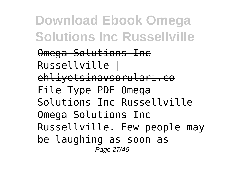Omega Solutions Inc Russellville | ehliyetsinavsorulari.co File Type PDF Omega Solutions Inc Russellville Omega Solutions Inc Russellville. Few people may be laughing as soon as Page 27/46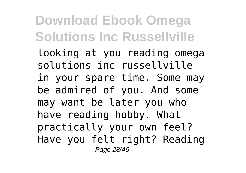looking at you reading omega solutions inc russellville in your spare time. Some may be admired of you. And some may want be later you who have reading hobby. What practically your own feel? Have you felt right? Reading Page 28/46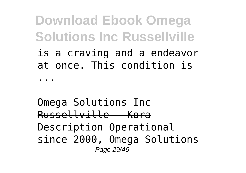is a craving and a endeavor at once. This condition is

...

Omega Solutions Inc Russellville - Kora Description Operational since 2000, Omega Solutions Page 29/46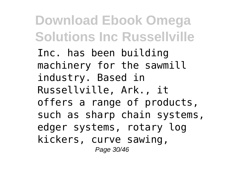Inc. has been building machinery for the sawmill industry. Based in Russellville, Ark., it offers a range of products, such as sharp chain systems, edger systems, rotary log kickers, curve sawing, Page 30/46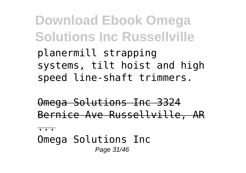planermill strapping systems, tilt hoist and high speed line-shaft trimmers.

Omega Solutions Inc 3324 Bernice Ave Russellville, AR

...

Omega Solutions Inc Page 31/46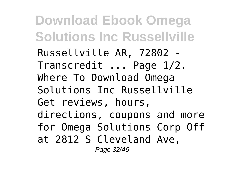Russellville AR, 72802 - Transcredit ... Page 1/2. Where To Download Omega Solutions Inc Russellville Get reviews, hours, directions, coupons and more for Omega Solutions Corp Off at 2812 S Cleveland Ave, Page 32/46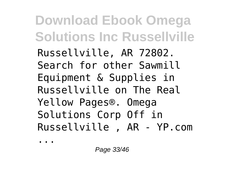Russellville, AR 72802. Search for other Sawmill Equipment & Supplies in Russellville on The Real Yellow Pages®. Omega Solutions Corp Off in Russellville , AR - YP.com

...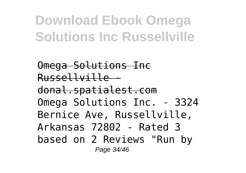Omega Solutions Inc Russellville donal.spatialest.com Omega Solutions Inc. - 3324 Bernice Ave, Russellville, Arkansas 72802 - Rated 3 based on 2 Reviews "Run by Page 34/46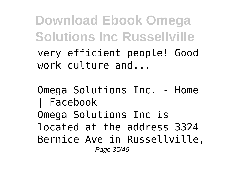very efficient people! Good work culture and...

Omega Solutions Inc. - Home  $H$ Facebook Omega Solutions Inc is located at the address 3324 Bernice Ave in Russellville, Page 35/46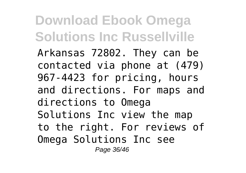Arkansas 72802. They can be contacted via phone at (479) 967-4423 for pricing, hours and directions. For maps and directions to Omega Solutions Inc view the map to the right. For reviews of Omega Solutions Inc see Page 36/46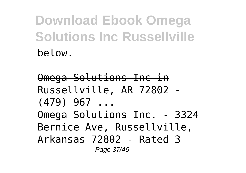Omega Solutions Inc in Russellville, AR 72802 -  $(479)$  967 ... Omega Solutions Inc. - 3324 Bernice Ave, Russellville, Arkansas 72802 - Rated 3 Page 37/46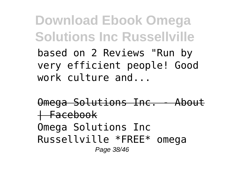**Download Ebook Omega Solutions Inc Russellville** based on 2 Reviews "Run by very efficient people! Good work culture and...

Omega Solutions Inc. - Abo  $+$ Facebook Omega Solutions Inc Russellville \*FREE\* omega Page 38/46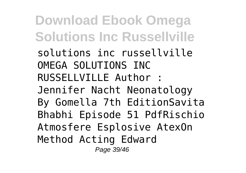**Download Ebook Omega Solutions Inc Russellville** solutions inc russellville OMEGA SOLUTIONS INC RUSSELLVILLE Author : Jennifer Nacht Neonatology By Gomella 7th EditionSavita Bhabhi Episode 51 PdfRischio Atmosfere Esplosive AtexOn Method Acting Edward Page 39/46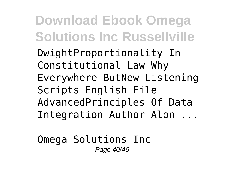DwightProportionality In Constitutional Law Why Everywhere ButNew Listening Scripts English File AdvancedPrinciples Of Data Integration Author Alon ...

Omega Solutions Inc Page 40/46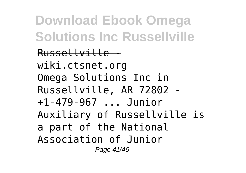Russellville wiki.ctsnet.org Omega Solutions Inc in Russellville, AR 72802 - +1-479-967 ... Junior Auxiliary of Russellville is a part of the National Association of Junior Page 41/46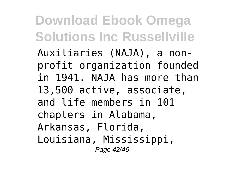Auxiliaries (NAJA), a nonprofit organization founded in 1941. NAJA has more than 13,500 active, associate, and life members in 101 chapters in Alabama, Arkansas, Florida, Louisiana, Mississippi, Page 42/46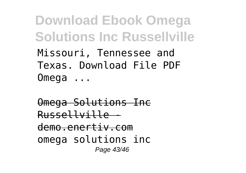**Download Ebook Omega Solutions Inc Russellville** Missouri, Tennessee and Texas. Download File PDF Omega ...

Omega Solutions Inc Russellville demo.enertiv.com omega solutions inc Page 43/46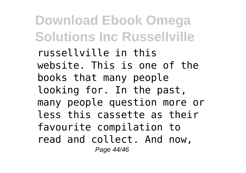russellville in this website. This is one of the books that many people looking for. In the past, many people question more or less this cassette as their favourite compilation to read and collect. And now, Page 44/46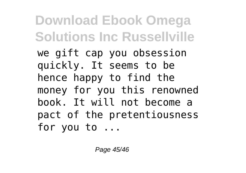we gift cap you obsession quickly. It seems to be hence happy to find the money for you this renowned book. It will not become a pact of the pretentiousness for you to ...